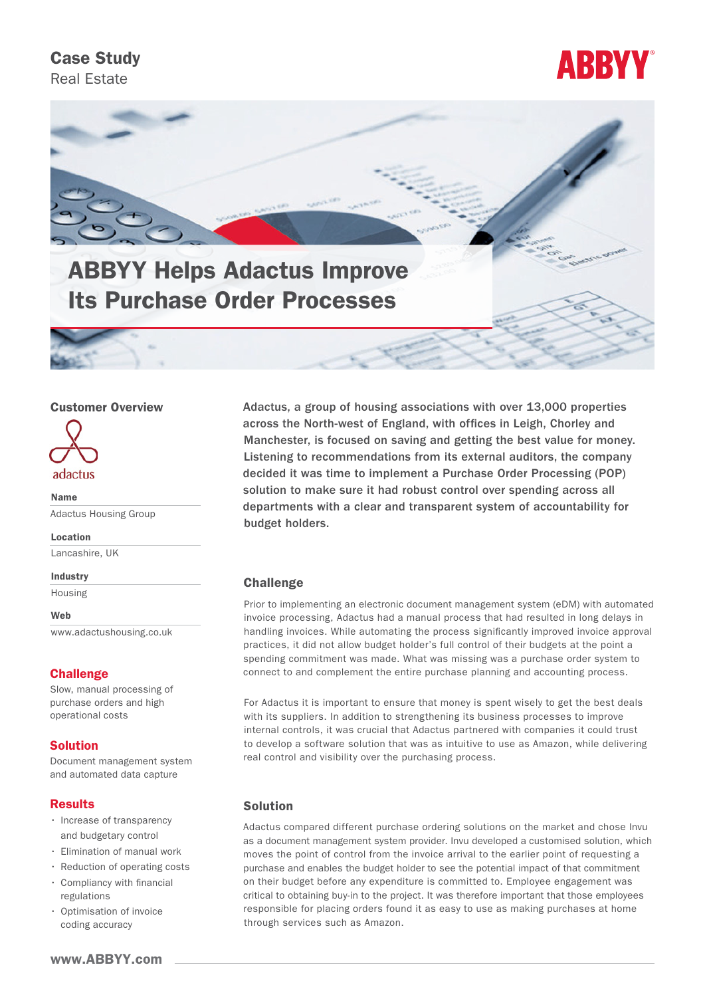# Case Study

Real Estate





# Customer Overview



Name Adactus Housing Group

Location

Lancashire, UK

Industry

Housing

Web

[www.adactushousing.co.uk](http://www.adactushousing.co.uk)

#### **Challenge**

Slow, manual processing of purchase orders and high operational costs

# Solution

Document management system and automated data capture

#### **Results**

- Increase of transparency and budgetary control
- Elimination of manual work
- Reduction of operating costs
- Compliancy with financial regulations
- Optimisation of invoice coding accuracy

Adactus, a group of housing associations with over 13,000 properties across the North-west of England, with offices in Leigh, Chorley and Manchester, is focused on saving and getting the best value for money. Listening to recommendations from its external auditors, the company decided it was time to implement a Purchase Order Processing (POP) solution to make sure it had robust control over spending across all departments with a clear and transparent system of accountability for budget holders.

#### **Challenge**

Prior to implementing an electronic document management system (eDM) with automated invoice processing, Adactus had a manual process that had resulted in long delays in handling invoices. While automating the process significantly improved invoice approval practices, it did not allow budget holder's full control of their budgets at the point a spending commitment was made. What was missing was a purchase order system to connect to and complement the entire purchase planning and accounting process.

For Adactus it is important to ensure that money is spent wisely to get the best deals with its suppliers. In addition to strengthening its business processes to improve internal controls, it was crucial that Adactus partnered with companies it could trust to develop a software solution that was as intuitive to use as Amazon, while delivering real control and visibility over the purchasing process.

#### Solution

Adactus compared different purchase ordering solutions on the market and chose Invu as a document management system provider. Invu developed a customised solution, which moves the point of control from the invoice arrival to the earlier point of requesting a purchase and enables the budget holder to see the potential impact of that commitment on their budget before any expenditure is committed to. Employee engagement was critical to obtaining buy-in to the project. It was therefore important that those employees responsible for placing orders found it as easy to use as making purchases at home through services such as Amazon.